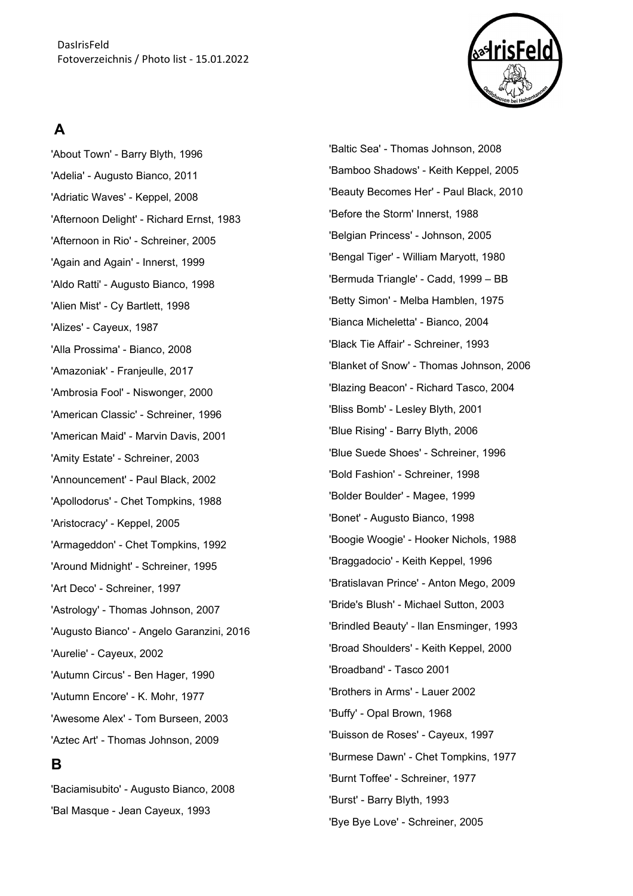

# **A**

'About Town' - Barry Blyth, 1996 'Adelia' - Augusto Bianco, 2011 'Adriatic Waves' - Keppel, 2008 'Afternoon Delight' - Richard Ernst, 1983 'Afternoon in Rio' - Schreiner, 2005 'Again and Again' - Innerst, 1999 'Aldo Ratti' - Augusto Bianco, 1998 'Alien Mist' - Cy Bartlett, 1998 'Alizes' - Cayeux, 1987 'Alla Prossima' - Bianco, 2008 'Amazoniak' - Franjeulle, 2017 'Ambrosia Fool' - Niswonger, 2000 'American Classic' - Schreiner, 1996 'American Maid' - Marvin Davis, 2001 'Amity Estate' - Schreiner, 2003 'Announcement' - Paul Black, 2002 'Apollodorus' - Chet Tompkins, 1988 'Aristocracy' - Keppel, 2005 'Armageddon' - Chet Tompkins, 1992 'Around Midnight' - Schreiner, 1995 'Art Deco' - Schreiner, 1997 'Astrology' - Thomas Johnson, 2007 'Augusto Bianco' - Angelo Garanzini, 2016 'Aurelie' - Cayeux, 2002 'Autumn Circus' - Ben Hager, 1990 'Autumn Encore' - K. Mohr, 1977 'Awesome Alex' - Tom Burseen, 2003 'Aztec Art' - Thomas Johnson, 2009 **B** 

'Baciamisubito' - Augusto Bianco, 2008 'Bal Masque - Jean Cayeux, 1993

'Baltic Sea' - Thomas Johnson, 2008 'Bamboo Shadows' - Keith Keppel, 2005 'Beauty Becomes Her' - Paul Black, 2010 'Before the Storm' Innerst, 1988 'Belgian Princess' - Johnson, 2005 'Bengal Tiger' - William Maryott, 1980 'Bermuda Triangle' - Cadd, 1999 – BB 'Betty Simon' - Melba Hamblen, 1975 'Bianca Micheletta' - Bianco, 2004 'Black Tie Affair' - Schreiner, 1993 'Blanket of Snow' - Thomas Johnson, 2006 'Blazing Beacon' - Richard Tasco, 2004 'Bliss Bomb' - Lesley Blyth, 2001 'Blue Rising' - Barry Blyth, 2006 'Blue Suede Shoes' - Schreiner, 1996 'Bold Fashion' - Schreiner, 1998 'Bolder Boulder' - Magee, 1999 'Bonet' - Augusto Bianco, 1998 'Boogie Woogie' - Hooker Nichols, 1988 'Braggadocio' - Keith Keppel, 1996 'Bratislavan Prince' - Anton Mego, 2009 'Bride's Blush' - Michael Sutton, 2003 'Brindled Beauty' - llan Ensminger, 1993 'Broad Shoulders' - Keith Keppel, 2000 'Broadband' - Tasco 2001 'Brothers in Arms' - Lauer 2002 'Buffy' - Opal Brown, 1968 'Buisson de Roses' - Cayeux, 1997 'Burmese Dawn' - Chet Tompkins, 1977 'Burnt Toffee' - Schreiner, 1977 'Burst' - Barry Blyth, 1993 'Bye Bye Love' - Schreiner, 2005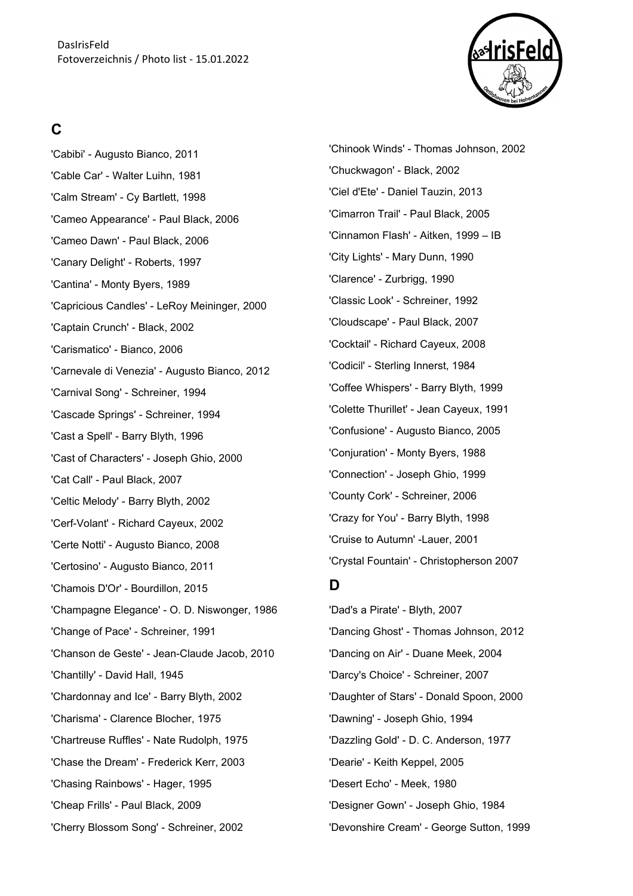

# **C**

'Cabibi' - Augusto Bianco, 2011 'Cable Car' - Walter Luihn, 1981 'Calm Stream' - Cy Bartlett, 1998 'Cameo Appearance' - Paul Black, 2006 'Cameo Dawn' - Paul Black, 2006 'Canary Delight' - Roberts, 1997 'Cantina' - Monty Byers, 1989 'Capricious Candles' - LeRoy Meininger, 2000 'Captain Crunch' - Black, 2002 'Carismatico' - Bianco, 2006 'Carnevale di Venezia' - Augusto Bianco, 2012 'Carnival Song' - Schreiner, 1994 'Cascade Springs' - Schreiner, 1994 'Cast a Spell' - Barry Blyth, 1996 'Cast of Characters' - Joseph Ghio, 2000 'Cat Call' - Paul Black, 2007 'Celtic Melody' - Barry Blyth, 2002 'Cerf-Volant' - Richard Cayeux, 2002 'Certe Notti' - Augusto Bianco, 2008 'Certosino' - Augusto Bianco, 2011 'Chamois D'Or' - Bourdillon, 2015 'Champagne Elegance' - O. D. Niswonger, 1986 'Change of Pace' - Schreiner, 1991 'Chanson de Geste' - Jean-Claude Jacob, 2010 'Chantilly' - David Hall, 1945 'Chardonnay and Ice' - Barry Blyth, 2002 'Charisma' - Clarence Blocher, 1975 'Chartreuse Ruffles' - Nate Rudolph, 1975 'Chase the Dream' - Frederick Kerr, 2003 'Chasing Rainbows' - Hager, 1995 'Cheap Frills' - Paul Black, 2009 'Cherry Blossom Song' - Schreiner, 2002

'Chinook Winds' - Thomas Johnson, 2002 'Chuckwagon' - Black, 2002 'Ciel d'Ete' - Daniel Tauzin, 2013 'Cimarron Trail' - Paul Black, 2005 'Cinnamon Flash' - Aitken, 1999 – IB 'City Lights' - Mary Dunn, 1990 'Clarence' - Zurbrigg, 1990 'Classic Look' - Schreiner, 1992 'Cloudscape' - Paul Black, 2007 'Cocktail' - Richard Cayeux, 2008 'Codicil' - Sterling Innerst, 1984 'Coffee Whispers' - Barry Blyth, 1999 'Colette Thurillet' - Jean Cayeux, 1991 'Confusione' - Augusto Bianco, 2005 'Conjuration' - Monty Byers, 1988 'Connection' - Joseph Ghio, 1999 'County Cork' - Schreiner, 2006 'Crazy for You' - Barry Blyth, 1998 'Cruise to Autumn' -Lauer, 2001 'Crystal Fountain' - Christopherson 2007

## **D**

'Dad's a Pirate' - Blyth, 2007 'Dancing Ghost' - Thomas Johnson, 2012 'Dancing on Air' - Duane Meek, 2004 'Darcy's Choice' - Schreiner, 2007 'Daughter of Stars' - Donald Spoon, 2000 'Dawning' - Joseph Ghio, 1994 'Dazzling Gold' - D. C. Anderson, 1977 'Dearie' - Keith Keppel, 2005 'Desert Echo' - Meek, 1980 'Designer Gown' - Joseph Ghio, 1984 'Devonshire Cream' - George Sutton, 1999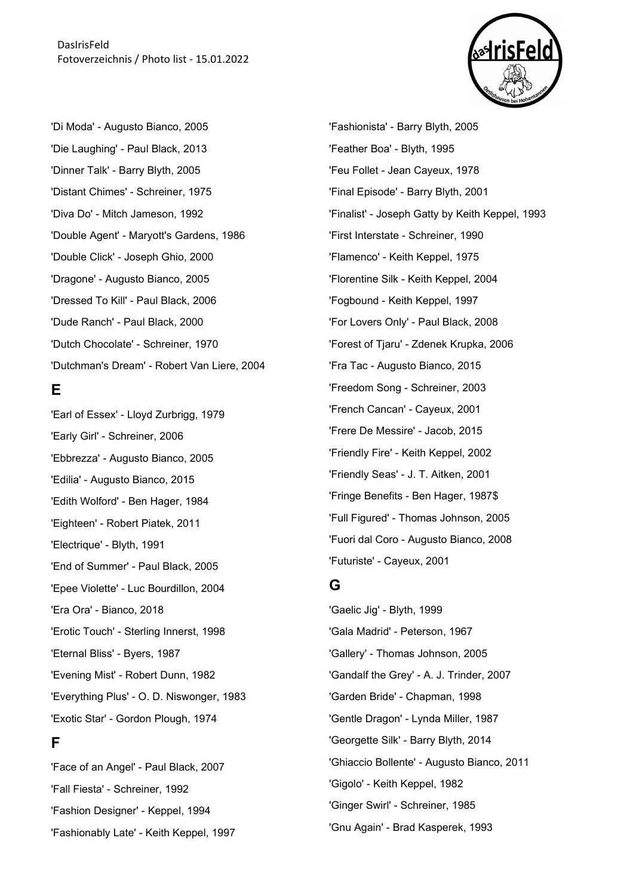

'Di Moda' - Augusto Bianco, 2005 'Die Laughing' - Paul Black, 2013 'Dinner Talk' - Barry Blyth, 2005 'Distant Chimes' - Schreiner, 1975 'Diva Do' - Mitch Jameson, 1992 'Double Agent' - Maryott's Gardens, 1986 'Double Click' - Joseph Ghio, 2000 'Dragone' - Augusto Bianco, 2005 'Dressed To Kill' - Paul Black, 2006 'Dude Ranch' - Paul Black, 2000 'Dutch Chocolate' - Schreiner, 1970 'Dutchman's Dream' - Robert Van Liere, 2004

#### **E**

'Earl of Essex' - Lloyd Zurbrigg, 1979 'Early Girl' - Schreiner, 2006 'Ebbrezza' - Augusto Bianco, 2005 'Edilia' - Augusto Bianco, 2015 'Edith Wolford' - Ben Hager, 1984 'Eighteen' - Robert Piatek, 2011 'Electrique' - Blyth, 1991 'End of Summer' - Paul Black, 2005 'Epee Violette' - Luc Bourdillon, 2004 'Era Ora' - Bianco, 2018 'Erotic Touch' - Sterling Innerst, 1998 'Eternal Bliss' - Byers, 1987 'Evening Mist' - Robert Dunn, 1982 'Everything Plus' - O. D. Niswonger, 1983 'Exotic Star' - Gordon Plough, 1974

#### **F**

'Face of an Angel' - Paul Black, 2007 'Fall Fiesta' - Schreiner, 1992 'Fashion Designer' - Keppel, 1994 'Fashionably Late' - Keith Keppel, 1997 'Fashionista' - Barry Blyth, 2005 'Feather Boa' - Blyth, 1995 'Feu Follet - Jean Cayeux, 1978 'Final Episode' - Barry Blyth, 2001 'Finalist' - Joseph Gatty by Keith Keppel, 1993 'First Interstate - Schreiner, 1990 'Flamenco' - Keith Keppel, 1975 'Florentine Silk - Keith Keppel, 2004 'Fogbound - Keith Keppel, 1997 'For Lovers Only' - Paul Black, 2008 'Forest of Tjaru' - Zdenek Krupka, 2006 'Fra Tac - Augusto Bianco, 2015 'Freedom Song - Schreiner, 2003 'French Cancan' - Cayeux, 2001 'Frere De Messire' - Jacob, 2015 'Friendly Fire' - Keith Keppel, 2002 'Friendly Seas' - J. T. Aitken, 2001 'Fringe Benefits - Ben Hager, 1987\$ 'Full Figured' - Thomas Johnson, 2005 'Fuori dal Coro - Augusto Bianco, 2008 'Futuriste' - Cayeux, 2001

## **G**

'Gaelic Jig' - Blyth, 1999 'Gala Madrid' - Peterson, 1967 'Gallery' - Thomas Johnson, 2005 'Gandalf the Grey' - A. J. Trinder, 2007 'Garden Bride' - Chapman, 1998 'Gentle Dragon' - Lynda Miller, 1987 'Georgette Silk' - Barry Blyth, 2014 'Ghiaccio Bollente' - Augusto Bianco, 2011 'Gigolo' - Keith Keppel, 1982 'Ginger Swirl' - Schreiner, 1985 'Gnu Again' - Brad Kasperek, 1993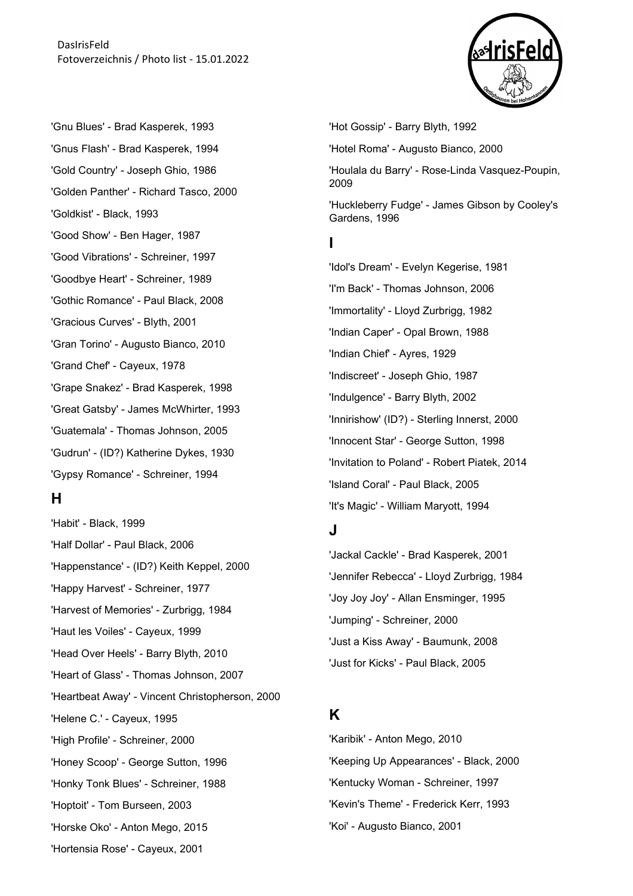'Gnu Blues' - Brad Kasperek, 1993 'Gnus Flash' - Brad Kasperek, 1994 'Gold Country' - Joseph Ghio, 1986 'Golden Panther' - Richard Tasco, 2000 'Goldkist' - Black, 1993 'Good Show' - Ben Hager, 1987 'Good Vibrations' - Schreiner, 1997 'Goodbye Heart' - Schreiner, 1989 'Gothic Romance' - Paul Black, 2008 'Gracious Curves' - Blyth, 2001 'Gran Torino' - Augusto Bianco, 2010 'Grand Chef' - Cayeux, 1978 'Grape Snakez' - Brad Kasperek, 1998 'Great Gatsby' - James McWhirter, 1993 'Guatemala' - Thomas Johnson, 2005 'Gudrun' - (ID?) Katherine Dykes, 1930 'Gypsy Romance' - Schreiner, 1994

#### **H**

'Habit' - Black, 1999 'Half Dollar' - Paul Black, 2006 'Happenstance' - (ID?) Keith Keppel, 2000 'Happy Harvest' - Schreiner, 1977 'Harvest of Memories' - Zurbrigg, 1984 'Haut les Voiles' - Cayeux, 1999 'Head Over Heels' - Barry Blyth, 2010 'Heart of Glass' - Thomas Johnson, 2007 'Heartbeat Away' - Vincent Christopherson, 2000 'Helene C.' - Cayeux, 1995 'High Profile' - Schreiner, 2000 'Honey Scoop' - George Sutton, 1996 'Honky Tonk Blues' - Schreiner, 1988 'Hoptoit' - Tom Burseen, 2003 'Horske Oko' - Anton Mego, 2015 'Hortensia Rose' - Cayeux, 2001



'Hot Gossip' - Barry Blyth, 1992 'Hotel Roma' - Augusto Bianco, 2000 'Houlala du Barry' - Rose-Linda Vasquez-Poupin, 2009 'Huckleberry Fudge' - James Gibson by Cooley's Gardens, 1996 **I**  'Idol's Dream' - Evelyn Kegerise, 1981 'I'm Back' - Thomas Johnson, 2006 'Immortality' - Lloyd Zurbrigg, 1982 'Indian Caper' - Opal Brown, 1988

'Indian Chief' - Ayres, 1929 'Indiscreet' - Joseph Ghio, 1987 'Indulgence' - Barry Blyth, 2002 'Innirishow' (ID?) - Sterling Innerst, 2000 'Innocent Star' - George Sutton, 1998 'Invitation to Poland' - Robert Piatek, 2014 'Island Coral' - Paul Black, 2005 'It's Magic' - William Maryott, 1994

## **J**

'Jackal Cackle' - Brad Kasperek, 2001 'Jennifer Rebecca' - Lloyd Zurbrigg, 1984 'Joy Joy Joy' - Allan Ensminger, 1995 'Jumping' - Schreiner, 2000 'Just a Kiss Away' - Baumunk, 2008 'Just for Kicks' - Paul Black, 2005

# **K**

'Karibik' - Anton Mego, 2010 'Keeping Up Appearances' - Black, 2000 'Kentucky Woman - Schreiner, 1997 'Kevin's Theme' - Frederick Kerr, 1993 'Koi' - Augusto Bianco, 2001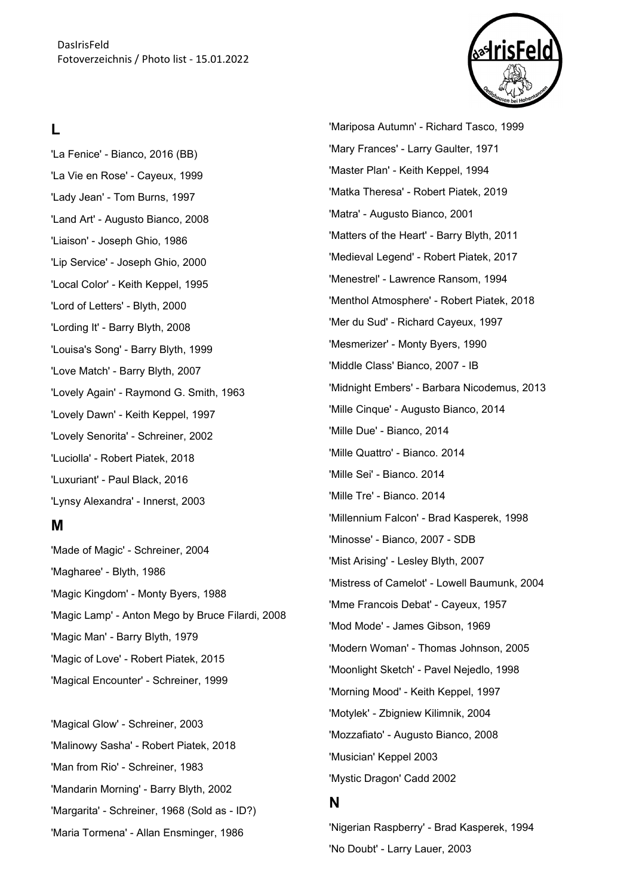### **L**

'La Fenice' - Bianco, 2016 (BB) 'La Vie en Rose' - Cayeux, 1999 'Lady Jean' - Tom Burns, 1997 'Land Art' - Augusto Bianco, 2008 'Liaison' - Joseph Ghio, 1986 'Lip Service' - Joseph Ghio, 2000 'Local Color' - Keith Keppel, 1995 'Lord of Letters' - Blyth, 2000 'Lording It' - Barry Blyth, 2008 'Louisa's Song' - Barry Blyth, 1999 'Love Match' - Barry Blyth, 2007 'Lovely Again' - Raymond G. Smith, 1963 'Lovely Dawn' - Keith Keppel, 1997 'Lovely Senorita' - Schreiner, 2002 'Luciolla' - Robert Piatek, 2018 'Luxuriant' - Paul Black, 2016 'Lynsy Alexandra' - Innerst, 2003

#### **M**

'Made of Magic' - Schreiner, 2004 'Magharee' - Blyth, 1986 'Magic Kingdom' - Monty Byers, 1988 'Magic Lamp' - Anton Mego by Bruce Filardi, 2008 'Magic Man' - Barry Blyth, 1979 'Magic of Love' - Robert Piatek, 2015 'Magical Encounter' - Schreiner, 1999

'Magical Glow' - Schreiner, 2003 'Malinowy Sasha' - Robert Piatek, 2018 'Man from Rio' - Schreiner, 1983 'Mandarin Morning' - Barry Blyth, 2002 'Margarita' - Schreiner, 1968 (Sold as - ID?) 'Maria Tormena' - Allan Ensminger, 1986

'Mariposa Autumn' - Richard Tasco, 1999 'Mary Frances' - Larry Gaulter, 1971 'Master Plan' - Keith Keppel, 1994 'Matka Theresa' - Robert Piatek, 2019 'Matra' - Augusto Bianco, 2001 'Matters of the Heart' - Barry Blyth, 2011 'Medieval Legend' - Robert Piatek, 2017 'Menestrel' - Lawrence Ransom, 1994 'Menthol Atmosphere' - Robert Piatek, 2018 'Mer du Sud' - Richard Cayeux, 1997 'Mesmerizer' - Monty Byers, 1990 'Middle Class' Bianco, 2007 - IB 'Midnight Embers' - Barbara Nicodemus, 2013 'Mille Cinque' - Augusto Bianco, 2014 'Mille Due' - Bianco, 2014 'Mille Quattro' - Bianco. 2014 'Mille Sei' - Bianco. 2014 'Mille Tre' - Bianco. 2014 'Millennium Falcon' - Brad Kasperek, 1998 'Minosse' - Bianco, 2007 - SDB 'Mist Arising' - Lesley Blyth, 2007 'Mistress of Camelot' - Lowell Baumunk, 2004 'Mme Francois Debat' - Cayeux, 1957 'Mod Mode' - James Gibson, 1969 'Modern Woman' - Thomas Johnson, 2005 'Moonlight Sketch' - Pavel Nejedlo, 1998 'Morning Mood' - Keith Keppel, 1997 'Motylek' - Zbigniew Kilimnik, 2004 'Mozzafiato' - Augusto Bianco, 2008 'Musician' Keppel 2003 'Mystic Dragon' Cadd 2002

#### **N**

'Nigerian Raspberry' - Brad Kasperek, 1994 'No Doubt' - Larry Lauer, 2003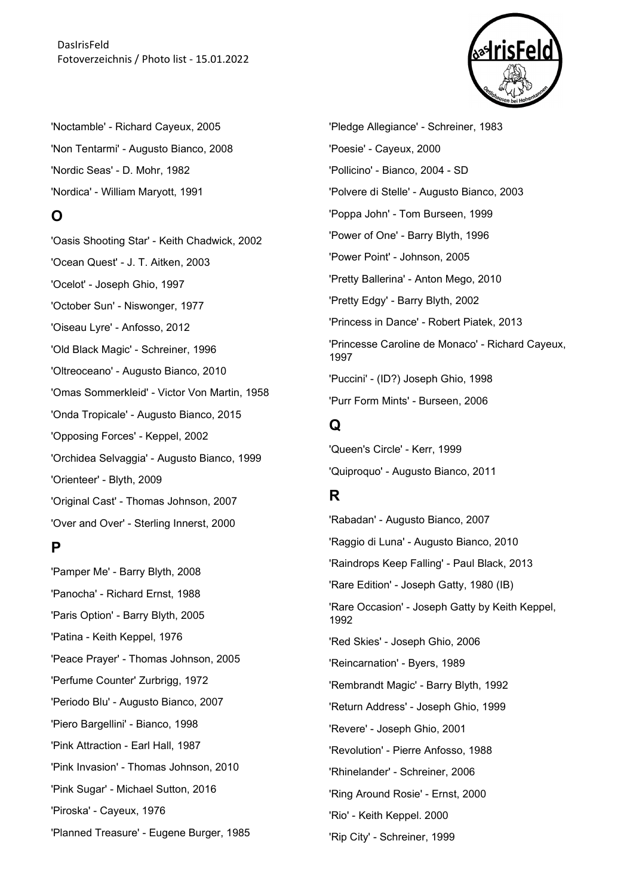DasIrisFeld Fotoverzeichnis / Photo list - 15.01.2022



'Noctamble' - Richard Cayeux, 2005 'Non Tentarmi' - Augusto Bianco, 2008 'Nordic Seas' - D. Mohr, 1982 'Nordica' - William Maryott, 1991

#### **O**

'Oasis Shooting Star' - Keith Chadwick, 2002 'Ocean Quest' - J. T. Aitken, 2003 'Ocelot' - Joseph Ghio, 1997 'October Sun' - Niswonger, 1977 'Oiseau Lyre' - Anfosso, 2012 'Old Black Magic' - Schreiner, 1996 'Oltreoceano' - Augusto Bianco, 2010 'Omas Sommerkleid' - Victor Von Martin, 1958 'Onda Tropicale' - Augusto Bianco, 2015 'Opposing Forces' - Keppel, 2002 'Orchidea Selvaggia' - Augusto Bianco, 1999 'Orienteer' - Blyth, 2009 'Original Cast' - Thomas Johnson, 2007 'Over and Over' - Sterling Innerst, 2000

#### **P**

'Pamper Me' - Barry Blyth, 2008 'Panocha' - Richard Ernst, 1988 'Paris Option' - Barry Blyth, 2005 'Patina - Keith Keppel, 1976 'Peace Prayer' - Thomas Johnson, 2005 'Perfume Counter' Zurbrigg, 1972 'Periodo Blu' - Augusto Bianco, 2007 'Piero Bargellini' - Bianco, 1998 'Pink Attraction - Earl Hall, 1987 'Pink Invasion' - Thomas Johnson, 2010 'Pink Sugar' - Michael Sutton, 2016 'Piroska' - Cayeux, 1976 'Planned Treasure' - Eugene Burger, 1985 'Pledge Allegiance' - Schreiner, 1983 'Poesie' - Cayeux, 2000 'Pollicino' - Bianco, 2004 - SD 'Polvere di Stelle' - Augusto Bianco, 2003 'Poppa John' - Tom Burseen, 1999 'Power of One' - Barry Blyth, 1996 'Power Point' - Johnson, 2005 'Pretty Ballerina' - Anton Mego, 2010 'Pretty Edgy' - Barry Blyth, 2002 'Princess in Dance' - Robert Piatek, 2013 'Princesse Caroline de Monaco' - Richard Cayeux, 1997 'Puccini' - (ID?) Joseph Ghio, 1998 'Purr Form Mints' - Burseen, 2006

# **Q**

'Queen's Circle' - Kerr, 1999 'Quiproquo' - Augusto Bianco, 2011

# **R**

'Rabadan' - Augusto Bianco, 2007 'Raggio di Luna' - Augusto Bianco, 2010 'Raindrops Keep Falling' - Paul Black, 2013 'Rare Edition' - Joseph Gatty, 1980 (IB) 'Rare Occasion' - Joseph Gatty by Keith Keppel, 1992 'Red Skies' - Joseph Ghio, 2006 'Reincarnation' - Byers, 1989 'Rembrandt Magic' - Barry Blyth, 1992 'Return Address' - Joseph Ghio, 1999 'Revere' - Joseph Ghio, 2001 'Revolution' - Pierre Anfosso, 1988 'Rhinelander' - Schreiner, 2006 'Ring Around Rosie' - Ernst, 2000 'Rio' - Keith Keppel. 2000 'Rip City' - Schreiner, 1999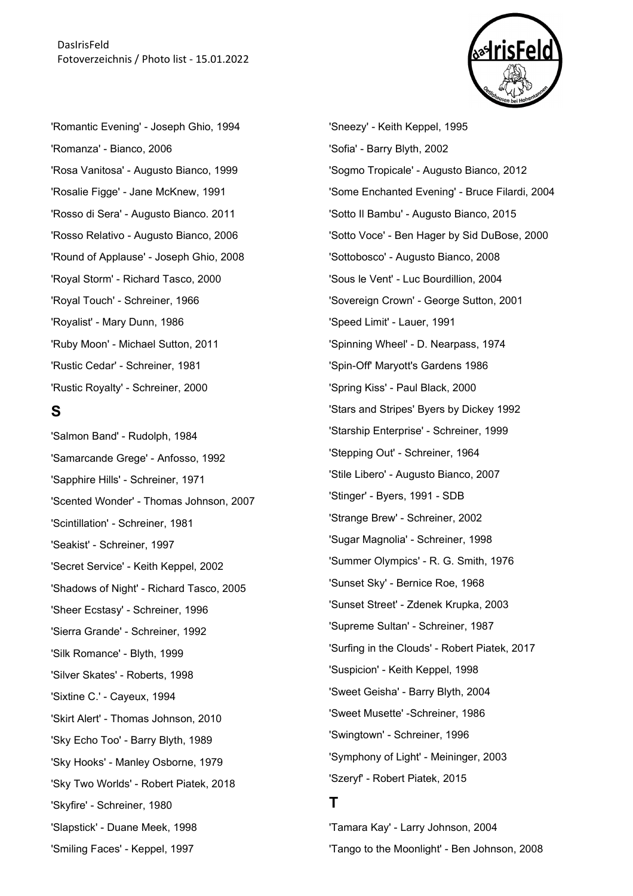

'Romantic Evening' - Joseph Ghio, 1994 'Romanza' - Bianco, 2006 'Rosa Vanitosa' - Augusto Bianco, 1999 'Rosalie Figge' - Jane McKnew, 1991 'Rosso di Sera' - Augusto Bianco. 2011 'Rosso Relativo - Augusto Bianco, 2006 'Round of Applause' - Joseph Ghio, 2008 'Royal Storm' - Richard Tasco, 2000 'Royal Touch' - Schreiner, 1966 'Royalist' - Mary Dunn, 1986 'Ruby Moon' - Michael Sutton, 2011 'Rustic Cedar' - Schreiner, 1981 'Rustic Royalty' - Schreiner, 2000

#### **S**

'Salmon Band' - Rudolph, 1984 'Samarcande Grege' - Anfosso, 1992 'Sapphire Hills' - Schreiner, 1971 'Scented Wonder' - Thomas Johnson, 2007 'Scintillation' - Schreiner, 1981 'Seakist' - Schreiner, 1997 'Secret Service' - Keith Keppel, 2002 'Shadows of Night' - Richard Tasco, 2005 'Sheer Ecstasy' - Schreiner, 1996 'Sierra Grande' - Schreiner, 1992 'Silk Romance' - Blyth, 1999 'Silver Skates' - Roberts, 1998 'Sixtine C.' - Cayeux, 1994 'Skirt Alert' - Thomas Johnson, 2010 'Sky Echo Too' - Barry Blyth, 1989 'Sky Hooks' - Manley Osborne, 1979 'Sky Two Worlds' - Robert Piatek, 2018 'Skyfire' - Schreiner, 1980 'Slapstick' - Duane Meek, 1998 'Smiling Faces' - Keppel, 1997

'Sneezy' - Keith Keppel, 1995 'Sofia' - Barry Blyth, 2002 'Sogmo Tropicale' - Augusto Bianco, 2012 'Some Enchanted Evening' - Bruce Filardi, 2004 'Sotto Il Bambu' - Augusto Bianco, 2015 'Sotto Voce' - Ben Hager by Sid DuBose, 2000 'Sottobosco' - Augusto Bianco, 2008 'Sous le Vent' - Luc Bourdillion, 2004 'Sovereign Crown' - George Sutton, 2001 'Speed Limit' - Lauer, 1991 'Spinning Wheel' - D. Nearpass, 1974 'Spin-Off' Maryott's Gardens 1986 'Spring Kiss' - Paul Black, 2000 'Stars and Stripes' Byers by Dickey 1992 'Starship Enterprise' - Schreiner, 1999 'Stepping Out' - Schreiner, 1964 'Stile Libero' - Augusto Bianco, 2007 'Stinger' - Byers, 1991 - SDB 'Strange Brew' - Schreiner, 2002 'Sugar Magnolia' - Schreiner, 1998 'Summer Olympics' - R. G. Smith, 1976 'Sunset Sky' - Bernice Roe, 1968 'Sunset Street' - Zdenek Krupka, 2003 'Supreme Sultan' - Schreiner, 1987 'Surfing in the Clouds' - Robert Piatek, 2017 'Suspicion' - Keith Keppel, 1998 'Sweet Geisha' - Barry Blyth, 2004 'Sweet Musette' -Schreiner, 1986 'Swingtown' - Schreiner, 1996 'Symphony of Light' - Meininger, 2003 'Szeryf' - Robert Piatek, 2015

## **T**

'Tamara Kay' - Larry Johnson, 2004 'Tango to the Moonlight' - Ben Johnson, 2008